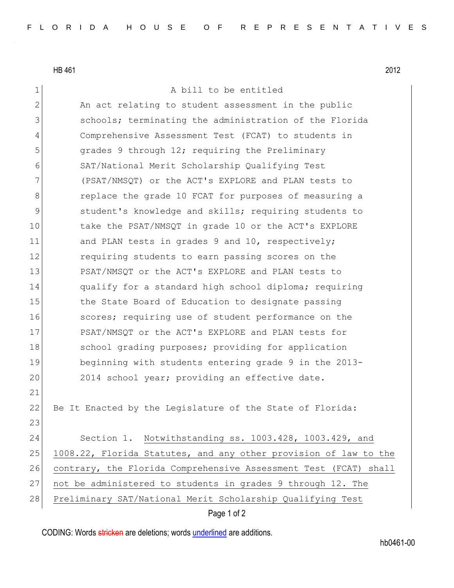HB 461 2012

21

23

1 A bill to be entitled 2 An act relating to student assessment in the public 3 3 schools; terminating the administration of the Florida 4 Comprehensive Assessment Test (FCAT) to students in 5 5 grades 9 through 12; requiring the Preliminary 6 SAT/National Merit Scholarship Qualifying Test 7 (PSAT/NMSQT) or the ACT's EXPLORE and PLAN tests to 8 8 8 8 replace the grade 10 FCAT for purposes of measuring a 9 Student's knowledge and skills; requiring students to 10 take the PSAT/NMSQT in grade 10 or the ACT's EXPLORE 11 and PLAN tests in grades 9 and 10, respectively; 12 **12** requiring students to earn passing scores on the 13 PSAT/NMSQT or the ACT's EXPLORE and PLAN tests to 14 qualify for a standard high school diploma; requiring 15 the State Board of Education to designate passing 16 **S**cores; requiring use of student performance on the 17 PSAT/NMSOT or the ACT's EXPLORE and PLAN tests for 18 School grading purposes; providing for application 19 beginning with students entering grade 9 in the 2013- 20 2014 school year; providing an effective date. 22 Be It Enacted by the Legislature of the State of Florida: 24 Section 1. Notwithstanding ss. 1003.428, 1003.429, and 25 1008.22, Florida Statutes, and any other provision of law to the 26 contrary, the Florida Comprehensive Assessment Test (FCAT) shall 27 not be administered to students in grades 9 through 12. The 28 Preliminary SAT/National Merit Scholarship Qualifying Test

Page 1 of 2

CODING: Words stricken are deletions; words underlined are additions.